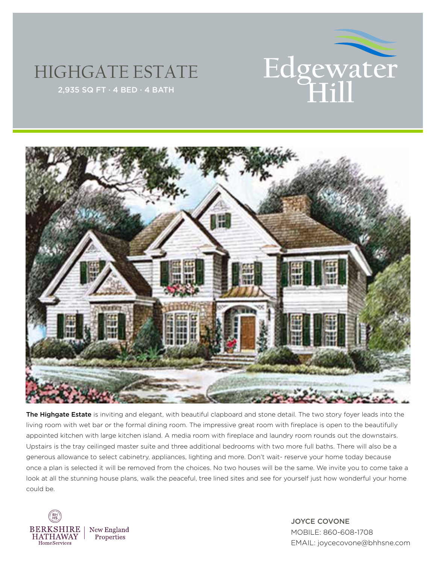

## HIGHGATE ESTATE



The Highgate Estate is inviting and elegant, with beautiful clapboard and stone detail. The two story foyer leads into the living room with wet bar or the formal dining room. The impressive great room with fireplace is open to the beautifully appointed kitchen with large kitchen island. A media room with fireplace and laundry room rounds out the downstairs. Upstairs is the tray ceilinged master suite and three additional bedrooms with two more full baths. There will also be a generous allowance to select cabinetry, appliances, lighting and more. Don't wait- reserve your home today because once a plan is selected it will be removed from the choices. No two houses will be the same. We invite you to come take a look at all the stunning house plans, walk the peaceful, tree lined sites and see for yourself just how wonderful your home could be.



JOYCE COVONE MOBILE: 860-608-1708 EMAIL: joycecovone@bhhsne.com